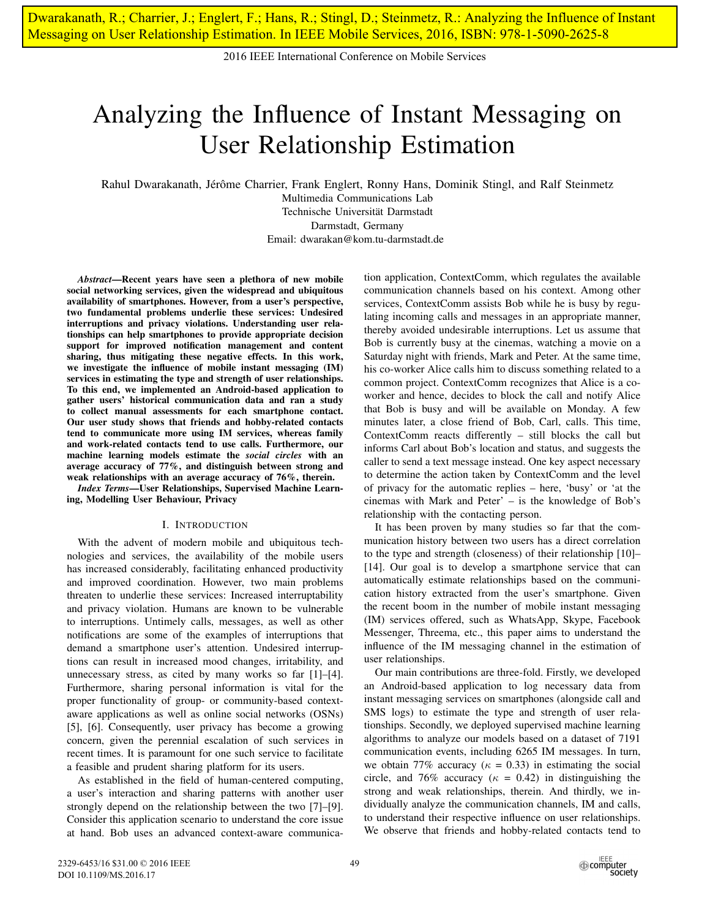Dwarakanath, R.; Charrier, J.; Englert, F.; Hans, R.; Stingl, D.; Steinmetz, R.: Analyzing the Influence of Instant Messaging on User Relationship Estimation. In IEEE Mobile Services, 2016, ISBN: 978-1-5090-2625-8

2016 IEEE International Conference on Mobile Services

# Analyzing the Influence of Instant Messaging on User Relationship Estimation

Rahul Dwarakanath, Jérôme Charrier, Frank Englert, Ronny Hans, Dominik Stingl, and Ralf Steinmetz

Multimedia Communications Lab Technische Universität Darmstadt Darmstadt, Germany Email: dwarakan@kom.tu-darmstadt.de

*Abstract*—Recent years have seen a plethora of new mobile social networking services, given the widespread and ubiquitous availability of smartphones. However, from a user's perspective, two fundamental problems underlie these services: Undesired interruptions and privacy violations. Understanding user relationships can help smartphones to provide appropriate decision support for improved notification management and content sharing, thus mitigating these negative effects. In this work, we investigate the influence of mobile instant messaging (IM) services in estimating the type and strength of user relationships. To this end, we implemented an Android-based application to gather users' historical communication data and ran a study to collect manual assessments for each smartphone contact. Our user study shows that friends and hobby-related contacts tend to communicate more using IM services, whereas family and work-related contacts tend to use calls. Furthermore, our machine learning models estimate the *social circles* with an average accuracy of 77%, and distinguish between strong and weak relationships with an average accuracy of 76%, therein.

*Index Terms*—User Relationships, Supervised Machine Learning, Modelling User Behaviour, Privacy

## I. INTRODUCTION

With the advent of modern mobile and ubiquitous technologies and services, the availability of the mobile users has increased considerably, facilitating enhanced productivity and improved coordination. However, two main problems threaten to underlie these services: Increased interruptability and privacy violation. Humans are known to be vulnerable to interruptions. Untimely calls, messages, as well as other notifications are some of the examples of interruptions that demand a smartphone user's attention. Undesired interruptions can result in increased mood changes, irritability, and unnecessary stress, as cited by many works so far [1]–[4]. Furthermore, sharing personal information is vital for the proper functionality of group- or community-based contextaware applications as well as online social networks (OSNs) [5], [6]. Consequently, user privacy has become a growing concern, given the perennial escalation of such services in recent times. It is paramount for one such service to facilitate a feasible and prudent sharing platform for its users.

As established in the field of human-centered computing, a user's interaction and sharing patterns with another user strongly depend on the relationship between the two [7]–[9]. Consider this application scenario to understand the core issue at hand. Bob uses an advanced context-aware communication application, ContextComm, which regulates the available communication channels based on his context. Among other services, ContextComm assists Bob while he is busy by regulating incoming calls and messages in an appropriate manner, thereby avoided undesirable interruptions. Let us assume that Bob is currently busy at the cinemas, watching a movie on a Saturday night with friends, Mark and Peter. At the same time, his co-worker Alice calls him to discuss something related to a common project. ContextComm recognizes that Alice is a coworker and hence, decides to block the call and notify Alice that Bob is busy and will be available on Monday. A few minutes later, a close friend of Bob, Carl, calls. This time, ContextComm reacts differently – still blocks the call but informs Carl about Bob's location and status, and suggests the caller to send a text message instead. One key aspect necessary to determine the action taken by ContextComm and the level of privacy for the automatic replies – here, 'busy' or 'at the cinemas with Mark and Peter' – is the knowledge of Bob's relationship with the contacting person.

It has been proven by many studies so far that the communication history between two users has a direct correlation to the type and strength (closeness) of their relationship [10]– [14]. Our goal is to develop a smartphone service that can automatically estimate relationships based on the communication history extracted from the user's smartphone. Given the recent boom in the number of mobile instant messaging (IM) services offered, such as WhatsApp, Skype, Facebook Messenger, Threema, etc., this paper aims to understand the influence of the IM messaging channel in the estimation of user relationships.

Our main contributions are three-fold. Firstly, we developed an Android-based application to log necessary data from instant messaging services on smartphones (alongside call and SMS logs) to estimate the type and strength of user relationships. Secondly, we deployed supervised machine learning algorithms to analyze our models based on a dataset of 7191 communication events, including 6265 IM messages. In turn, we obtain 77% accuracy ( $\kappa = 0.33$ ) in estimating the social circle, and 76% accuracy ( $\kappa = 0.42$ ) in distinguishing the strong and weak relationships, therein. And thirdly, we individually analyze the communication channels, IM and calls, to understand their respective influence on user relationships. We observe that friends and hobby-related contacts tend to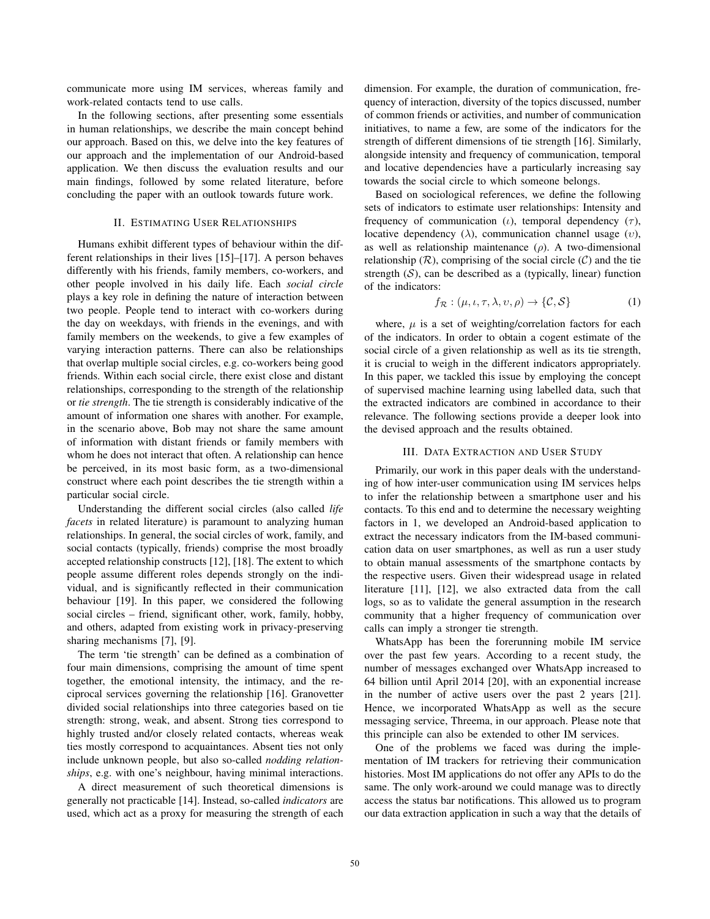communicate more using IM services, whereas family and work-related contacts tend to use calls.

In the following sections, after presenting some essentials in human relationships, we describe the main concept behind our approach. Based on this, we delve into the key features of our approach and the implementation of our Android-based application. We then discuss the evaluation results and our main findings, followed by some related literature, before concluding the paper with an outlook towards future work.

## II. ESTIMATING USER RELATIONSHIPS

Humans exhibit different types of behaviour within the different relationships in their lives [15]–[17]. A person behaves differently with his friends, family members, co-workers, and other people involved in his daily life. Each *social circle* plays a key role in defining the nature of interaction between two people. People tend to interact with co-workers during the day on weekdays, with friends in the evenings, and with family members on the weekends, to give a few examples of varying interaction patterns. There can also be relationships that overlap multiple social circles, e.g. co-workers being good friends. Within each social circle, there exist close and distant relationships, corresponding to the strength of the relationship or *tie strength*. The tie strength is considerably indicative of the amount of information one shares with another. For example, in the scenario above, Bob may not share the same amount of information with distant friends or family members with whom he does not interact that often. A relationship can hence be perceived, in its most basic form, as a two-dimensional construct where each point describes the tie strength within a particular social circle.

Understanding the different social circles (also called *life facets* in related literature) is paramount to analyzing human relationships. In general, the social circles of work, family, and social contacts (typically, friends) comprise the most broadly accepted relationship constructs [12], [18]. The extent to which people assume different roles depends strongly on the individual, and is significantly reflected in their communication behaviour [19]. In this paper, we considered the following social circles – friend, significant other, work, family, hobby, and others, adapted from existing work in privacy-preserving sharing mechanisms [7], [9].

The term 'tie strength' can be defined as a combination of four main dimensions, comprising the amount of time spent together, the emotional intensity, the intimacy, and the reciprocal services governing the relationship [16]. Granovetter divided social relationships into three categories based on tie strength: strong, weak, and absent. Strong ties correspond to highly trusted and/or closely related contacts, whereas weak ties mostly correspond to acquaintances. Absent ties not only include unknown people, but also so-called *nodding relationships*, e.g. with one's neighbour, having minimal interactions.

A direct measurement of such theoretical dimensions is generally not practicable [14]. Instead, so-called *indicators* are used, which act as a proxy for measuring the strength of each dimension. For example, the duration of communication, frequency of interaction, diversity of the topics discussed, number of common friends or activities, and number of communication initiatives, to name a few, are some of the indicators for the strength of different dimensions of tie strength [16]. Similarly, alongside intensity and frequency of communication, temporal and locative dependencies have a particularly increasing say towards the social circle to which someone belongs.

Based on sociological references, we define the following sets of indicators to estimate user relationships: Intensity and frequency of communication (*ι*), temporal dependency ( $\tau$ ), locative dependency  $(\lambda)$ , communication channel usage  $(v)$ , as well as relationship maintenance  $(\rho)$ . A two-dimensional relationship  $(\mathcal{R})$ , comprising of the social circle  $(\mathcal{C})$  and the tie strength  $(S)$ , can be described as a (typically, linear) function of the indicators:

$$
f_{\mathcal{R}} : (\mu, \iota, \tau, \lambda, \nu, \rho) \to \{\mathcal{C}, \mathcal{S}\} \tag{1}
$$

where,  $\mu$  is a set of weighting/correlation factors for each of the indicators. In order to obtain a cogent estimate of the social circle of a given relationship as well as its tie strength, it is crucial to weigh in the different indicators appropriately. In this paper, we tackled this issue by employing the concept of supervised machine learning using labelled data, such that the extracted indicators are combined in accordance to their relevance. The following sections provide a deeper look into the devised approach and the results obtained.

# III. DATA EXTRACTION AND USER STUDY

Primarily, our work in this paper deals with the understanding of how inter-user communication using IM services helps to infer the relationship between a smartphone user and his contacts. To this end and to determine the necessary weighting factors in 1, we developed an Android-based application to extract the necessary indicators from the IM-based communication data on user smartphones, as well as run a user study to obtain manual assessments of the smartphone contacts by the respective users. Given their widespread usage in related literature [11], [12], we also extracted data from the call logs, so as to validate the general assumption in the research community that a higher frequency of communication over calls can imply a stronger tie strength.

WhatsApp has been the forerunning mobile IM service over the past few years. According to a recent study, the number of messages exchanged over WhatsApp increased to 64 billion until April 2014 [20], with an exponential increase in the number of active users over the past 2 years [21]. Hence, we incorporated WhatsApp as well as the secure messaging service, Threema, in our approach. Please note that this principle can also be extended to other IM services.

One of the problems we faced was during the implementation of IM trackers for retrieving their communication histories. Most IM applications do not offer any APIs to do the same. The only work-around we could manage was to directly access the status bar notifications. This allowed us to program our data extraction application in such a way that the details of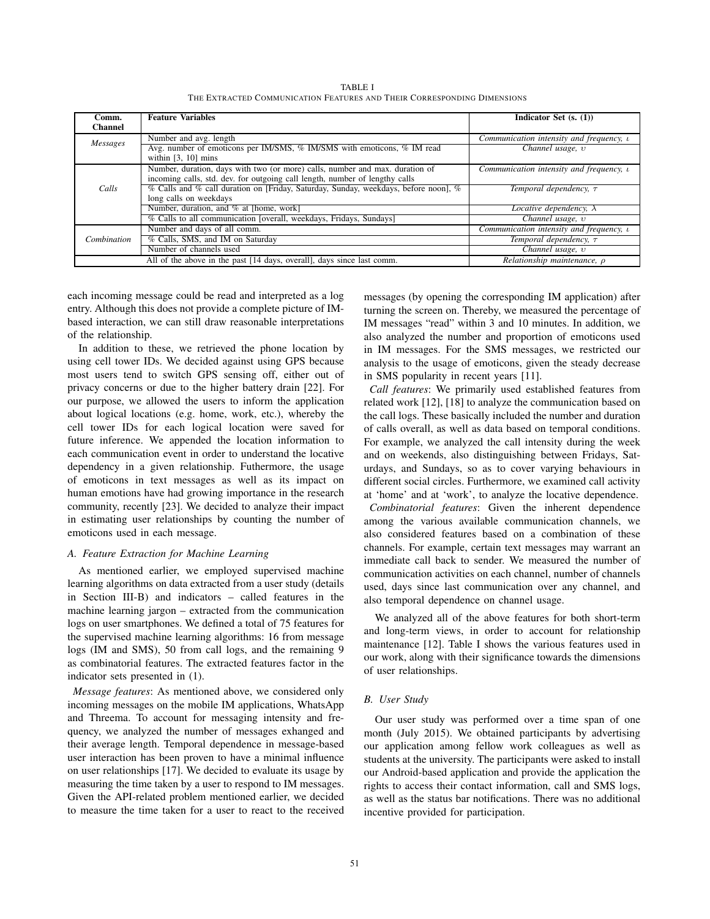| Comm.          | <b>Feature Variables</b>                                                            | Indicator Set $(s, (1))$                                    |
|----------------|-------------------------------------------------------------------------------------|-------------------------------------------------------------|
| <b>Channel</b> |                                                                                     |                                                             |
| Messages       | Number and avg. length                                                              | Communication intensity and frequency, $\iota$              |
|                | Avg. number of emoticons per IM/SMS, % IM/SMS with emoticons, % IM read             | Channel usage, $v$                                          |
|                | within $[3, 10]$ mins                                                               |                                                             |
|                | Number, duration, days with two (or more) calls, number and max. duration of        | Communication intensity and frequency, $\iota$              |
| Calls          | incoming calls, std. dev. for outgoing call length, number of lengthy calls         |                                                             |
|                | % Calls and % call duration on [Friday, Saturday, Sunday, weekdays, before noon], % | Temporal dependency, $\tau$                                 |
|                | long calls on weekdays                                                              |                                                             |
|                | Number, duration, and % at [home, work]                                             | Locative dependency, $\lambda$                              |
|                | % Calls to all communication [overall, weekdays, Fridays, Sundays]                  | $Channel$ usage, $v$                                        |
|                | Number and days of all comm.                                                        | $\overline{Communication}$ intensity and frequency, $\iota$ |
| Combination    | % Calls, SMS, and IM on Saturday                                                    | Temporal dependency, $\tau$                                 |
|                | Number of channels used                                                             | $Channel$ usage, $v$                                        |
|                | All of the above in the past [14 days, overall], days since last comm.              | Relationship maintenance, p                                 |

TABLE I THE EXTRACTED COMMUNICATION FEATURES AND THEIR CORRESPONDING DIMENSIONS

each incoming message could be read and interpreted as a log entry. Although this does not provide a complete picture of IMbased interaction, we can still draw reasonable interpretations of the relationship.

In addition to these, we retrieved the phone location by using cell tower IDs. We decided against using GPS because most users tend to switch GPS sensing off, either out of privacy concerns or due to the higher battery drain [22]. For our purpose, we allowed the users to inform the application about logical locations (e.g. home, work, etc.), whereby the cell tower IDs for each logical location were saved for future inference. We appended the location information to each communication event in order to understand the locative dependency in a given relationship. Futhermore, the usage of emoticons in text messages as well as its impact on human emotions have had growing importance in the research community, recently [23]. We decided to analyze their impact in estimating user relationships by counting the number of emoticons used in each message.

## *A. Feature Extraction for Machine Learning*

As mentioned earlier, we employed supervised machine learning algorithms on data extracted from a user study (details in Section III-B) and indicators – called features in the machine learning jargon – extracted from the communication logs on user smartphones. We defined a total of 75 features for the supervised machine learning algorithms: 16 from message logs (IM and SMS), 50 from call logs, and the remaining 9 as combinatorial features. The extracted features factor in the indicator sets presented in (1).

*Message features*: As mentioned above, we considered only incoming messages on the mobile IM applications, WhatsApp and Threema. To account for messaging intensity and frequency, we analyzed the number of messages exhanged and their average length. Temporal dependence in message-based user interaction has been proven to have a minimal influence on user relationships [17]. We decided to evaluate its usage by measuring the time taken by a user to respond to IM messages. Given the API-related problem mentioned earlier, we decided to measure the time taken for a user to react to the received messages (by opening the corresponding IM application) after turning the screen on. Thereby, we measured the percentage of IM messages "read" within 3 and 10 minutes. In addition, we also analyzed the number and proportion of emoticons used in IM messages. For the SMS messages, we restricted our analysis to the usage of emoticons, given the steady decrease in SMS popularity in recent years [11].

*Call features*: We primarily used established features from related work [12], [18] to analyze the communication based on the call logs. These basically included the number and duration of calls overall, as well as data based on temporal conditions. For example, we analyzed the call intensity during the week and on weekends, also distinguishing between Fridays, Saturdays, and Sundays, so as to cover varying behaviours in different social circles. Furthermore, we examined call activity at 'home' and at 'work', to analyze the locative dependence.

*Combinatorial features*: Given the inherent dependence among the various available communication channels, we also considered features based on a combination of these channels. For example, certain text messages may warrant an immediate call back to sender. We measured the number of communication activities on each channel, number of channels used, days since last communication over any channel, and also temporal dependence on channel usage.

We analyzed all of the above features for both short-term and long-term views, in order to account for relationship maintenance [12]. Table I shows the various features used in our work, along with their significance towards the dimensions of user relationships.

## *B. User Study*

Our user study was performed over a time span of one month (July 2015). We obtained participants by advertising our application among fellow work colleagues as well as students at the university. The participants were asked to install our Android-based application and provide the application the rights to access their contact information, call and SMS logs, as well as the status bar notifications. There was no additional incentive provided for participation.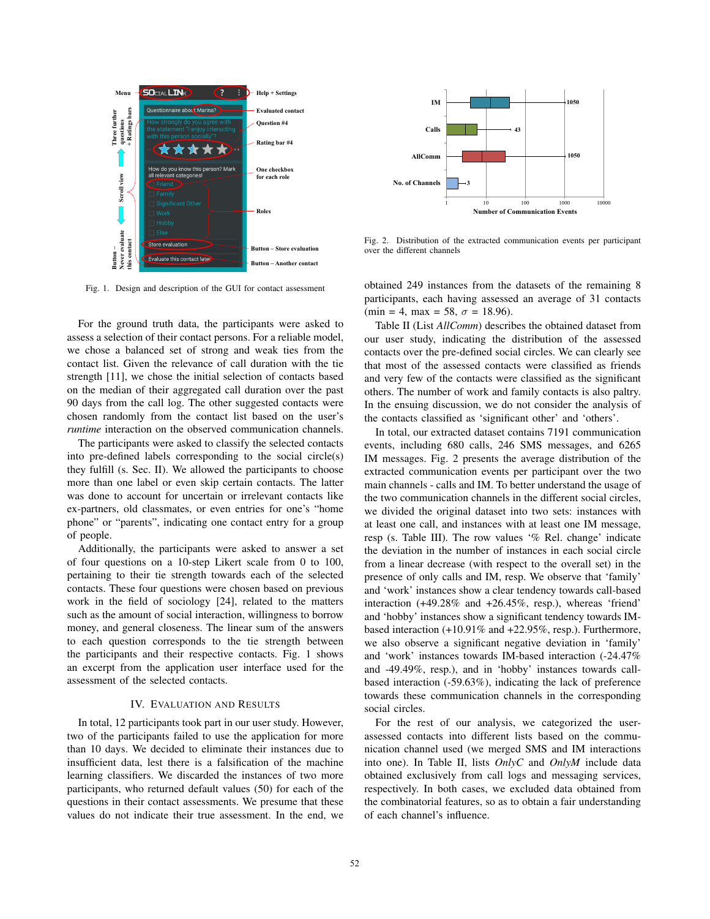

Fig. 1. Design and description of the GUI for contact assessment

For the ground truth data, the participants were asked to assess a selection of their contact persons. For a reliable model, we chose a balanced set of strong and weak ties from the contact list. Given the relevance of call duration with the tie strength [11], we chose the initial selection of contacts based on the median of their aggregated call duration over the past 90 days from the call log. The other suggested contacts were chosen randomly from the contact list based on the user's *runtime* interaction on the observed communication channels.

The participants were asked to classify the selected contacts into pre-defined labels corresponding to the social circle(s) they fulfill (s. Sec. II). We allowed the participants to choose more than one label or even skip certain contacts. The latter was done to account for uncertain or irrelevant contacts like ex-partners, old classmates, or even entries for one's "home phone" or "parents", indicating one contact entry for a group of people.

Additionally, the participants were asked to answer a set of four questions on a 10-step Likert scale from 0 to 100, pertaining to their tie strength towards each of the selected contacts. These four questions were chosen based on previous work in the field of sociology [24], related to the matters such as the amount of social interaction, willingness to borrow money, and general closeness. The linear sum of the answers to each question corresponds to the tie strength between the participants and their respective contacts. Fig. 1 shows an excerpt from the application user interface used for the assessment of the selected contacts.

#### IV. EVALUATION AND RESULTS

In total, 12 participants took part in our user study. However, two of the participants failed to use the application for more than 10 days. We decided to eliminate their instances due to insufficient data, lest there is a falsification of the machine learning classifiers. We discarded the instances of two more participants, who returned default values (50) for each of the questions in their contact assessments. We presume that these values do not indicate their true assessment. In the end, we



Fig. 2. Distribution of the extracted communication events per participant over the different channels

obtained 249 instances from the datasets of the remaining 8 participants, each having assessed an average of 31 contacts (min = 4, max = 58,  $\sigma$  = 18.96).

Table II (List *AllComm*) describes the obtained dataset from our user study, indicating the distribution of the assessed contacts over the pre-defined social circles. We can clearly see that most of the assessed contacts were classified as friends and very few of the contacts were classified as the significant others. The number of work and family contacts is also paltry. In the ensuing discussion, we do not consider the analysis of the contacts classified as 'significant other' and 'others'.

In total, our extracted dataset contains 7191 communication events, including 680 calls, 246 SMS messages, and 6265 IM messages. Fig. 2 presents the average distribution of the extracted communication events per participant over the two main channels - calls and IM. To better understand the usage of the two communication channels in the different social circles, we divided the original dataset into two sets: instances with at least one call, and instances with at least one IM message, resp (s. Table III). The row values '% Rel. change' indicate the deviation in the number of instances in each social circle from a linear decrease (with respect to the overall set) in the presence of only calls and IM, resp. We observe that 'family' and 'work' instances show a clear tendency towards call-based interaction (+49.28% and +26.45%, resp.), whereas 'friend' and 'hobby' instances show a significant tendency towards IMbased interaction (+10.91% and +22.95%, resp.). Furthermore, we also observe a significant negative deviation in 'family' and 'work' instances towards IM-based interaction (-24.47% and -49.49%, resp.), and in 'hobby' instances towards callbased interaction (-59.63%), indicating the lack of preference towards these communication channels in the corresponding social circles.

For the rest of our analysis, we categorized the userassessed contacts into different lists based on the communication channel used (we merged SMS and IM interactions into one). In Table II, lists *OnlyC* and *OnlyM* include data obtained exclusively from call logs and messaging services, respectively. In both cases, we excluded data obtained from the combinatorial features, so as to obtain a fair understanding of each channel's influence.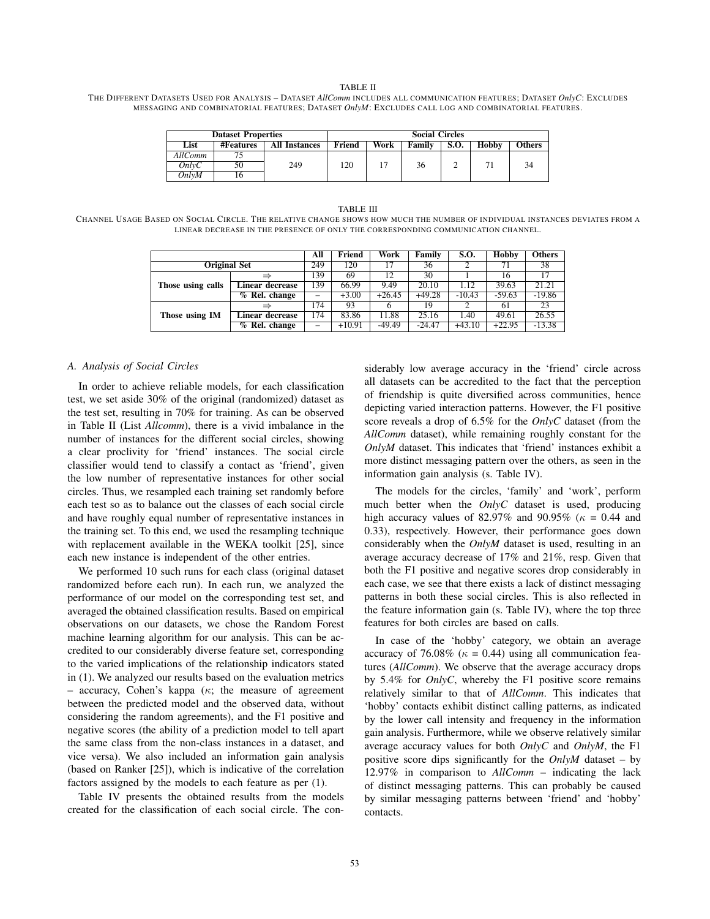#### TABLE II

THE DIFFERENT DATASETS USED FOR ANALYSIS – DATASET *AllComm* INCLUDES ALL COMMUNICATION FEATURES; DATASET *OnlyC*: EXCLUDES MESSAGING AND COMBINATORIAL FEATURES; DATASET *OnlyM*: EXCLUDES CALL LOG AND COMBINATORIAL FEATURES.

| <b>Dataset Properties</b> | <b>Social Circles</b> |                      |        |      |        |      |       |        |
|---------------------------|-----------------------|----------------------|--------|------|--------|------|-------|--------|
| List                      | <b>#Features</b>      | <b>All Instances</b> | Friend | Work | Family | S.O. | Hobby | Others |
| AllComm                   |                       |                      |        |      |        |      |       |        |
| OnlvC                     | 50                    | 249                  | 120    |      | 36     |      |       | 34     |
| OnlvM                     |                       |                      |        |      |        |      |       |        |

#### TABLE III

CHANNEL USAGE BASED ON SOCIAL CIRCLE. THE RELATIVE CHANGE SHOWS HOW MUCH THE NUMBER OF INDIVIDUAL INSTANCES DEVIATES FROM A LINEAR DECREASE IN THE PRESENCE OF ONLY THE CORRESPONDING COMMUNICATION CHANNEL.

|                     |                     | All               | Friend   | Work     | Family   | <b>S.O.</b> | Hobby    | <b>Others</b> |
|---------------------|---------------------|-------------------|----------|----------|----------|-------------|----------|---------------|
| <b>Original Set</b> |                     | 249               | 120      | 17       | 36       |             | 71       | 38            |
| Those using calls   | $\Rightarrow$       | 139               | 69       | 12       | 30       |             | 16       | 17            |
|                     | Linear decrease     | 139               | 66.99    | 9.49     | 20.10    | 1.12        | 39.63    | 21.21         |
|                     | $%$ Rel. change     | -                 | $+3.00$  | $+26.45$ | $+49.28$ | $-10.43$    | $-59.63$ | $-19.86$      |
|                     | $\Rightarrow$       | 174               | 93       |          | 19       | 2           | 61       | 23            |
| Those using IM      | Linear decrease     | 174               | 83.86    | 11.88    | 25.16    | 1.40        | 49.61    | 26.55         |
|                     | Rel. change<br>$\%$ | $\qquad \qquad =$ | $+10.91$ | $-49.49$ | $-24.47$ | $+43.10$    | $+22.95$ | $-13.38$      |

#### *A. Analysis of Social Circles*

In order to achieve reliable models, for each classification test, we set aside 30% of the original (randomized) dataset as the test set, resulting in 70% for training. As can be observed in Table II (List *Allcomm*), there is a vivid imbalance in the number of instances for the different social circles, showing a clear proclivity for 'friend' instances. The social circle classifier would tend to classify a contact as 'friend', given the low number of representative instances for other social circles. Thus, we resampled each training set randomly before each test so as to balance out the classes of each social circle and have roughly equal number of representative instances in the training set. To this end, we used the resampling technique with replacement available in the WEKA toolkit [25], since each new instance is independent of the other entries.

We performed 10 such runs for each class (original dataset randomized before each run). In each run, we analyzed the performance of our model on the corresponding test set, and averaged the obtained classification results. Based on empirical observations on our datasets, we chose the Random Forest machine learning algorithm for our analysis. This can be accredited to our considerably diverse feature set, corresponding to the varied implications of the relationship indicators stated in (1). We analyzed our results based on the evaluation metrics – accuracy, Cohen's kappa  $(\kappa;$  the measure of agreement between the predicted model and the observed data, without considering the random agreements), and the F1 positive and negative scores (the ability of a prediction model to tell apart the same class from the non-class instances in a dataset, and vice versa). We also included an information gain analysis (based on Ranker [25]), which is indicative of the correlation factors assigned by the models to each feature as per (1).

Table IV presents the obtained results from the models created for the classification of each social circle. The considerably low average accuracy in the 'friend' circle across all datasets can be accredited to the fact that the perception of friendship is quite diversified across communities, hence depicting varied interaction patterns. However, the F1 positive score reveals a drop of 6.5% for the *OnlyC* dataset (from the *AllComm* dataset), while remaining roughly constant for the *OnlyM* dataset. This indicates that 'friend' instances exhibit a more distinct messaging pattern over the others, as seen in the information gain analysis (s. Table IV).

The models for the circles, 'family' and 'work', perform much better when the *OnlyC* dataset is used, producing high accuracy values of 82.97% and 90.95% ( $\kappa = 0.44$  and 0.33), respectively. However, their performance goes down considerably when the *OnlyM* dataset is used, resulting in an average accuracy decrease of 17% and 21%, resp. Given that both the F1 positive and negative scores drop considerably in each case, we see that there exists a lack of distinct messaging patterns in both these social circles. This is also reflected in the feature information gain (s. Table IV), where the top three features for both circles are based on calls.

In case of the 'hobby' category, we obtain an average accuracy of 76.08% ( $\kappa = 0.44$ ) using all communication features (*AllComm*). We observe that the average accuracy drops by 5.4% for *OnlyC*, whereby the F1 positive score remains relatively similar to that of *AllComm*. This indicates that 'hobby' contacts exhibit distinct calling patterns, as indicated by the lower call intensity and frequency in the information gain analysis. Furthermore, while we observe relatively similar average accuracy values for both *OnlyC* and *OnlyM*, the F1 positive score dips significantly for the *OnlyM* dataset – by 12.97% in comparison to *AllComm* – indicating the lack of distinct messaging patterns. This can probably be caused by similar messaging patterns between 'friend' and 'hobby' contacts.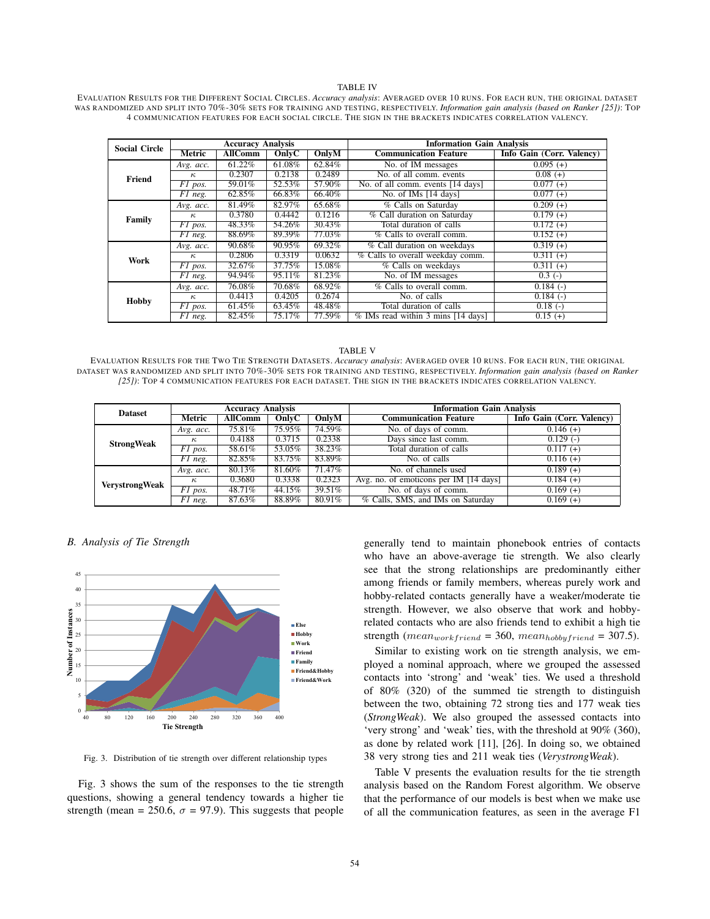#### TABLE IV

EVALUATION RESULTS FOR THE DIFFERENT SOCIAL CIRCLES. *Accuracy analysis*: AVERAGED OVER 10 RUNS. FOR EACH RUN, THE ORIGINAL DATASET WAS RANDOMIZED AND SPLIT INTO 70%-30% SETS FOR TRAINING AND TESTING, RESPECTIVELY. *Information gain analysis (based on Ranker [25])*: TOP 4 COMMUNICATION FEATURES FOR EACH SOCIAL CIRCLE. THE SIGN IN THE BRACKETS INDICATES CORRELATION VALENCY.

| <b>Social Circle</b> |                       | <b>Accuracy Analysis</b> |        |              | <b>Information Gain Analysis</b>   |                                  |  |
|----------------------|-----------------------|--------------------------|--------|--------------|------------------------------------|----------------------------------|--|
|                      | Metric                | <b>AllComm</b>           | OnlyC  | <b>OnlyM</b> | <b>Communication Feature</b>       | <b>Info Gain (Corr. Valency)</b> |  |
|                      | Avg. acc.             | 61.22%                   | 61.08% | 62.84%       | No. of IM messages                 | $\overline{0.095}$ (+)           |  |
| Friend               | $\kappa$              | 0.2307                   | 0.2138 | 0.2489       | No. of all comm. events            | $0.08(+)$                        |  |
|                      | $\overline{FI}$ pos.  | 59.01%                   | 52.53% | 57.90%       | No. of all comm. events [14 days]  | $0.077 (+)$                      |  |
|                      | $\overline{F}$ l neg. | 62.85%                   | 66.83% | 66.40%       | No. of IMs $[14 \text{ days}]$     | $0.077 (+)$                      |  |
| Family               | Avg. acc.             | 81.49%                   | 82.97% | 65.68%       | % Calls on Saturday                | $0.209 (+)$                      |  |
|                      | $\kappa$              | 0.3780                   | 0.4442 | 0.1216       | % Call duration on Saturday        | $0.179(+)$                       |  |
|                      | $\overline{FI}$ pos.  | 48.33%                   | 54.26% | 30.43%       | Total duration of calls            | $0.172(+)$                       |  |
|                      | $\overline{FI}$ neg.  | 88.69%                   | 89.39% | 77.03%       | % Calls to overall comm.           | $0.152(+)$                       |  |
|                      | Avg. acc.             | 90.68%                   | 90.95% | 69.32%       | % Call duration on weekdays        | $0.319(+)$                       |  |
| Work                 | $\kappa$              | 0.2806                   | 0.3319 | 0.0632       | % Calls to overall weekday comm.   | $0.311 (+)$                      |  |
|                      | $\overline{F}$ l pos. | 32.67%                   | 37.75% | 15.08%       | % Calls on weekdays                | $0.311 (+)$                      |  |
|                      | $\overline{F}$ l neg. | 94.94%                   | 95.11% | 81.23%       | No. of IM messages                 | $\overline{0.3}$ (-)             |  |
| Hobby                | $Avg.$ $acc.$         | 76.08%                   | 70.68% | 68.92%       | % Calls to overall comm.           | $0.184$ (-)                      |  |
|                      | $\kappa$              | 0.4413                   | 0.4205 | 0.2674       | No. of calls                       | $0.184$ (-)                      |  |
|                      | $\overline{FI}$ pos.  | 61.45%                   | 63.45% | 48.48%       | Total duration of calls            | $0.18(-)$                        |  |
|                      | $\overline{F1}$ neg.  | 82.45%                   | 75.17% | 77.59%       | % IMs read within 3 mins [14 days] | $0.15(+)$                        |  |

#### TABLE V

EVALUATION RESULTS FOR THE TWO TIE STRENGTH DATASETS. *Accuracy analysis*: AVERAGED OVER 10 RUNS. FOR EACH RUN, THE ORIGINAL DATASET WAS RANDOMIZED AND SPLIT INTO 70%-30% SETS FOR TRAINING AND TESTING, RESPECTIVELY. *Information gain analysis (based on Ranker [25])*: TOP 4 COMMUNICATION FEATURES FOR EACH DATASET. THE SIGN IN THE BRACKETS INDICATES CORRELATION VALENCY.

| <b>Dataset</b>        | <b>Accuracy Analysis</b> |         |                |           | <b>Information Gain Analysis</b>       |                           |  |
|-----------------------|--------------------------|---------|----------------|-----------|----------------------------------------|---------------------------|--|
|                       | Metric                   | AllComm | OnlvM<br>OnlyC |           | <b>Communication Feature</b>           | Info Gain (Corr. Valency) |  |
|                       | Avg. acc.                | 75.81%  | 75.95%         | 74.59%    | No. of days of comm.                   | $0.146 (+)$               |  |
| <b>StrongWeak</b>     | $\kappa$                 | 0.4188  | 0.3715         | 0.2338    | Days since last comm.                  | $0.129$ (-)               |  |
|                       | Fl pos.                  | 58.61%  | 53.05%         | 38.23%    | Total duration of calls                | $0.117 (+)$               |  |
|                       | F1 neg.                  | 82.85%  | 83.75%         | 83.89%    | No. of calls                           | $0.116 (+)$               |  |
|                       | Avg. acc.                | 80.13%  | 81.60%         | 71.47%    | No. of channels used                   | $0.189(+)$                |  |
| <b>VerystrongWeak</b> | к.                       | 0.3680  | 0.3338         | 0.2323    | Avg. no. of emoticons per IM [14 days] | $0.184(+)$                |  |
|                       | F1 pos.                  | 48.71%  | 44.15%         | $39.51\%$ | No. of days of comm.                   | $0.169(+)$                |  |
|                       | F1 neg.                  | 87.63%  | 88.89%         | $80.91\%$ | % Calls, SMS, and IMs on Saturday      | $0.169 (+)$               |  |

*B. Analysis of Tie Strength*



Fig. 3. Distribution of tie strength over different relationship types

Fig. 3 shows the sum of the responses to the tie strength questions, showing a general tendency towards a higher tie strength (mean = 250.6,  $\sigma$  = 97.9). This suggests that people

generally tend to maintain phonebook entries of contacts who have an above-average tie strength. We also clearly see that the strong relationships are predominantly either among friends or family members, whereas purely work and hobby-related contacts generally have a weaker/moderate tie strength. However, we also observe that work and hobbyrelated contacts who are also friends tend to exhibit a high tie strength (meanworkfriend = 360, meanhobbyfriend = 307.5).

Similar to existing work on tie strength analysis, we employed a nominal approach, where we grouped the assessed contacts into 'strong' and 'weak' ties. We used a threshold of 80% (320) of the summed tie strength to distinguish between the two, obtaining 72 strong ties and 177 weak ties (*StrongWeak*). We also grouped the assessed contacts into 'very strong' and 'weak' ties, with the threshold at 90% (360), as done by related work [11], [26]. In doing so, we obtained 38 very strong ties and 211 weak ties (*VerystrongWeak*).

Table V presents the evaluation results for the tie strength analysis based on the Random Forest algorithm. We observe that the performance of our models is best when we make use of all the communication features, as seen in the average F1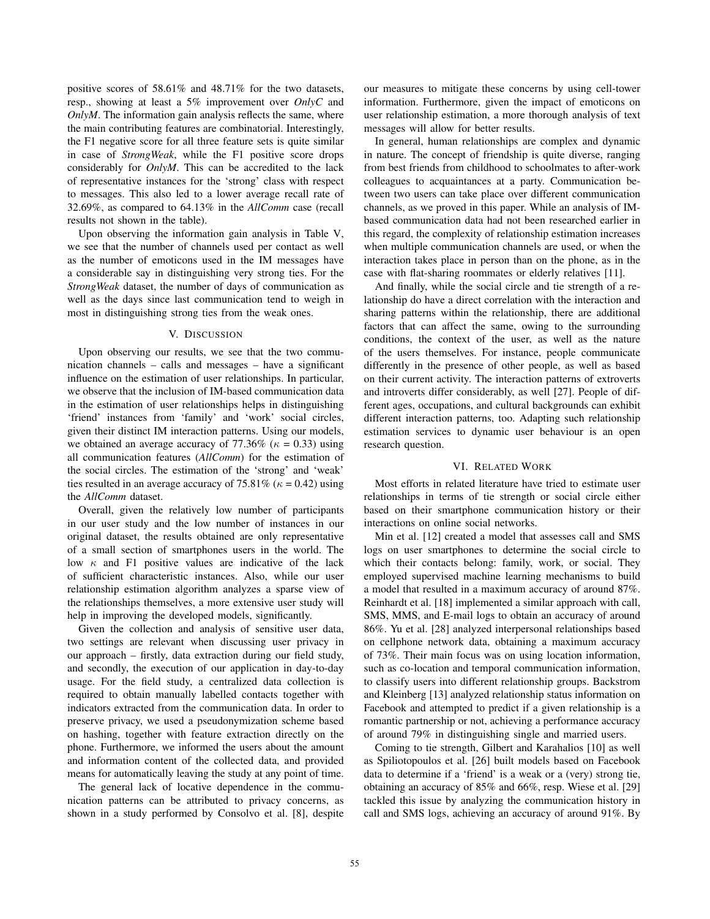positive scores of 58.61% and 48.71% for the two datasets, resp., showing at least a 5% improvement over *OnlyC* and *OnlyM*. The information gain analysis reflects the same, where the main contributing features are combinatorial. Interestingly, the F1 negative score for all three feature sets is quite similar in case of *StrongWeak*, while the F1 positive score drops considerably for *OnlyM*. This can be accredited to the lack of representative instances for the 'strong' class with respect to messages. This also led to a lower average recall rate of 32.69%, as compared to 64.13% in the *AllComm* case (recall results not shown in the table).

Upon observing the information gain analysis in Table V, we see that the number of channels used per contact as well as the number of emoticons used in the IM messages have a considerable say in distinguishing very strong ties. For the *StrongWeak* dataset, the number of days of communication as well as the days since last communication tend to weigh in most in distinguishing strong ties from the weak ones.

## V. DISCUSSION

Upon observing our results, we see that the two communication channels – calls and messages – have a significant influence on the estimation of user relationships. In particular, we observe that the inclusion of IM-based communication data in the estimation of user relationships helps in distinguishing 'friend' instances from 'family' and 'work' social circles, given their distinct IM interaction patterns. Using our models, we obtained an average accuracy of 77.36% ( $\kappa = 0.33$ ) using all communication features (*AllComm*) for the estimation of the social circles. The estimation of the 'strong' and 'weak' ties resulted in an average accuracy of 75.81% ( $\kappa$  = 0.42) using the *AllComm* dataset.

Overall, given the relatively low number of participants in our user study and the low number of instances in our original dataset, the results obtained are only representative of a small section of smartphones users in the world. The low  $\kappa$  and F1 positive values are indicative of the lack of sufficient characteristic instances. Also, while our user relationship estimation algorithm analyzes a sparse view of the relationships themselves, a more extensive user study will help in improving the developed models, significantly.

Given the collection and analysis of sensitive user data, two settings are relevant when discussing user privacy in our approach – firstly, data extraction during our field study, and secondly, the execution of our application in day-to-day usage. For the field study, a centralized data collection is required to obtain manually labelled contacts together with indicators extracted from the communication data. In order to preserve privacy, we used a pseudonymization scheme based on hashing, together with feature extraction directly on the phone. Furthermore, we informed the users about the amount and information content of the collected data, and provided means for automatically leaving the study at any point of time.

The general lack of locative dependence in the communication patterns can be attributed to privacy concerns, as shown in a study performed by Consolvo et al. [8], despite our measures to mitigate these concerns by using cell-tower information. Furthermore, given the impact of emoticons on user relationship estimation, a more thorough analysis of text messages will allow for better results.

In general, human relationships are complex and dynamic in nature. The concept of friendship is quite diverse, ranging from best friends from childhood to schoolmates to after-work colleagues to acquaintances at a party. Communication between two users can take place over different communication channels, as we proved in this paper. While an analysis of IMbased communication data had not been researched earlier in this regard, the complexity of relationship estimation increases when multiple communication channels are used, or when the interaction takes place in person than on the phone, as in the case with flat-sharing roommates or elderly relatives [11].

And finally, while the social circle and tie strength of a relationship do have a direct correlation with the interaction and sharing patterns within the relationship, there are additional factors that can affect the same, owing to the surrounding conditions, the context of the user, as well as the nature of the users themselves. For instance, people communicate differently in the presence of other people, as well as based on their current activity. The interaction patterns of extroverts and introverts differ considerably, as well [27]. People of different ages, occupations, and cultural backgrounds can exhibit different interaction patterns, too. Adapting such relationship estimation services to dynamic user behaviour is an open research question.

## VI. RELATED WORK

Most efforts in related literature have tried to estimate user relationships in terms of tie strength or social circle either based on their smartphone communication history or their interactions on online social networks.

Min et al. [12] created a model that assesses call and SMS logs on user smartphones to determine the social circle to which their contacts belong: family, work, or social. They employed supervised machine learning mechanisms to build a model that resulted in a maximum accuracy of around 87%. Reinhardt et al. [18] implemented a similar approach with call, SMS, MMS, and E-mail logs to obtain an accuracy of around 86%. Yu et al. [28] analyzed interpersonal relationships based on cellphone network data, obtaining a maximum accuracy of 73%. Their main focus was on using location information, such as co-location and temporal communication information, to classify users into different relationship groups. Backstrom and Kleinberg [13] analyzed relationship status information on Facebook and attempted to predict if a given relationship is a romantic partnership or not, achieving a performance accuracy of around 79% in distinguishing single and married users.

Coming to tie strength, Gilbert and Karahalios [10] as well as Spiliotopoulos et al. [26] built models based on Facebook data to determine if a 'friend' is a weak or a (very) strong tie, obtaining an accuracy of 85% and 66%, resp. Wiese et al. [29] tackled this issue by analyzing the communication history in call and SMS logs, achieving an accuracy of around 91%. By